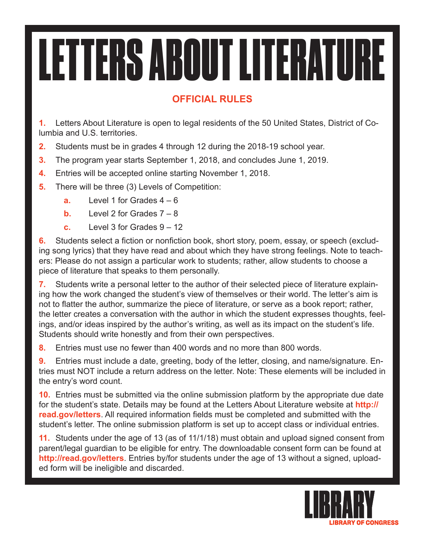## LETTERS ABOUT LITERATURE

## **OFFICIAL RULES**

**1.** Letters About Literature is open to legal residents of the 50 United States, District of Columbia and U.S. territories.

- **2.** Students must be in grades 4 through 12 during the 2018-19 school year.
- **3.** The program year starts September 1, 2018, and concludes June 1, 2019.
- **4.** Entries will be accepted online starting November 1, 2018.
- **5.** There will be three (3) Levels of Competition:
	- **a.** Level 1 for Grades  $4 6$
	- **b.** Level 2 for Grades  $7 8$
	- **c.** Level 3 for Grades 9 12

**6.** Students select a fiction or nonfiction book, short story, poem, essay, or speech (excluding song lyrics) that they have read and about which they have strong feelings. Note to teachers: Please do not assign a particular work to students; rather, allow students to choose a piece of literature that speaks to them personally.

**7.** Students write a personal letter to the author of their selected piece of literature explaining how the work changed the student's view of themselves or their world. The letter's aim is not to flatter the author, summarize the piece of literature, or serve as a book report; rather, the letter creates a conversation with the author in which the student expresses thoughts, feelings, and/or ideas inspired by the author's writing, as well as its impact on the student's life. Students should write honestly and from their own perspectives.

**8.** Entries must use no fewer than 400 words and no more than 800 words.

**9.** Entries must include a date, greeting, body of the letter, closing, and name/signature. Entries must NOT include a return address on the letter. Note: These elements will be included in the entry's word count.

**10.** Entries must be submitted via the online submission platform by the appropriate due date for the student's state. Details may be found at the Letters About Literature website at **http:// read.gov/letters**. All required information fields must be completed and submitted with the student's letter. The online submission platform is set up to accept class or individual entries.

**11.** Students under the age of 13 (as of 11/1/18) must obtain and upload signed consent from parent/legal guardian to be eligible for entry. The downloadable consent form can be found at **http://read.gov/letters**. Entries by/for students under the age of 13 without a signed, uploaded form will be ineligible and discarded.